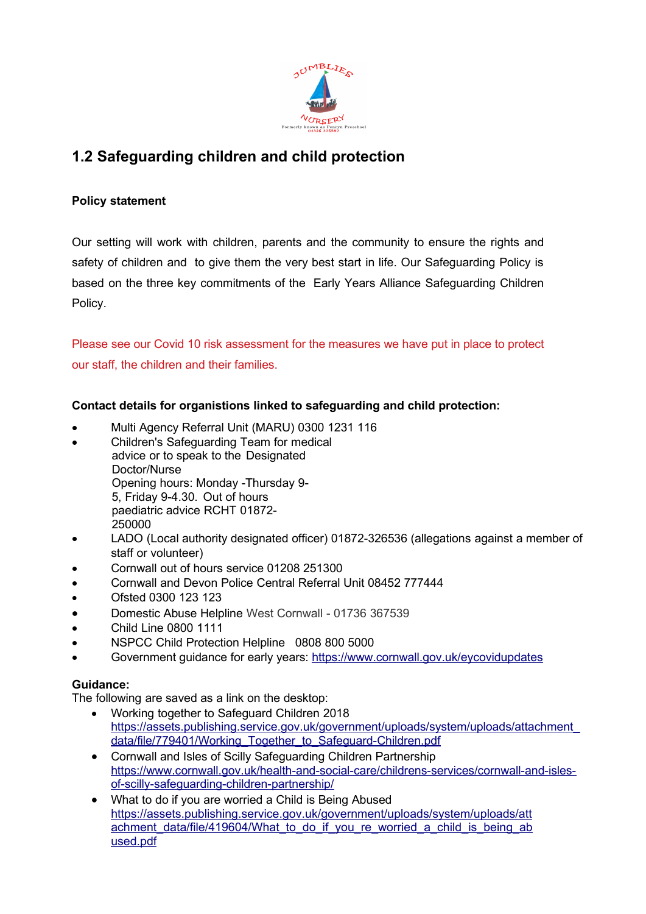

# **1.2 Safeguarding children and child protection**

# **Policy statement**

Our setting will work with children, parents and the community to ensure the rights and safety of children and to give them the very best start in life. Our Safeguarding Policy is based on the three key commitments of the Early Years Alliance Safeguarding Children Policy.

Please see our Covid 10 risk assessment for the measures we have put in place to protect our staff, the children and their families.

# **Contact details for organistions linked to safeguarding and child protection:**

- Multi Agency Referral Unit (MARU) 0300 1231 116
- Children's Safeguarding Team for medical advice or to speak to the Designated Doctor/Nurse Opening hours: Monday -Thursday 9- 5, Friday 9-4.30. Out of hours paediatric advice RCHT 01872-
- 250000
- LADO (Local authority designated officer) 01872-326536 (allegations against a member of staff or volunteer)
- **•** Cornwall out of hours service 01208 251300
- Cornwall and Devon Police Central Referral Unit 08452 777444
- Ofsted 0300 123 123
- Domestic Abuse Helpline West Cornwall 01736 367539
- Child Line 0800 1111
- NSPCC Child Protection Helpline 0808 800 5000
- Government guidance for early years:<https://www.cornwall.gov.uk/eycovidupdates>

# **Guidance:**

The following are saved as a link on the desktop:

- Working together to Safeguard Children 2018 [https://assets.publishing.service.gov.uk/government/uploads/system/uploads/attachment\\_](https://assets.publishing.service.gov.uk/government/uploads/system/uploads/attachment_data/file/779401/Working_Together_to_Safeguard-Children.pdf) data/file/779401/Working Together to Safeguard-Children.pdf
- Cornwall and Isles of Scilly Safeguarding Children Partnership [https://www.cornwall.gov.uk/health-and-social-care/childrens-services/cornwall-and-isles](https://www.cornwall.gov.uk/health-and-social-care/childrens-services/cornwall-and-isles-of-scilly-safeguarding-children-partnership/)[of-scilly-safeguarding-children-partnership/](https://www.cornwall.gov.uk/health-and-social-care/childrens-services/cornwall-and-isles-of-scilly-safeguarding-children-partnership/)
- What to do if you are worried a Child is Being Abused [https://assets.publishing.service.gov.uk/government/uploads/system/uploads/att](https://assets.publishing.service.gov.uk/government/uploads/system/uploads/attachment_data/file/419604/What_to_do_if_you_re_worried_a_child_is_being_abused.pdf) achment data/file/419604/What to do if you re worried a child is being ab [used.pdf](https://assets.publishing.service.gov.uk/government/uploads/system/uploads/attachment_data/file/419604/What_to_do_if_you_re_worried_a_child_is_being_abused.pdf)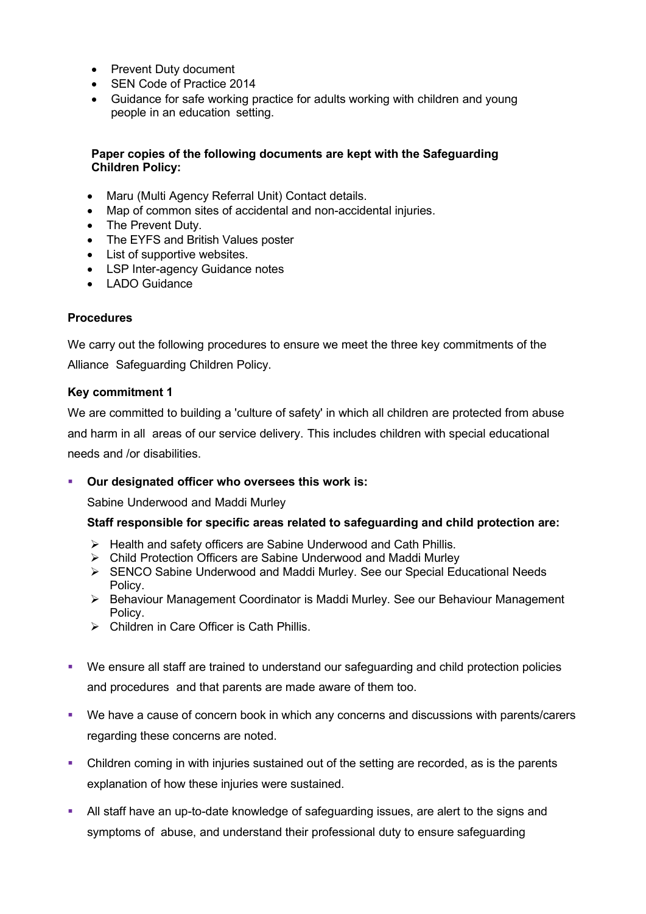- Prevent Duty document
- SEN Code of Practice 2014
- Guidance for safe working practice for adults working with children and young people in an education setting.

#### **Paper copies of the following documents are kept with the Safeguarding Children Policy:**

- Maru (Multi Agency Referral Unit) Contact details.
- Map of common sites of accidental and non-accidental injuries.
- The Prevent Duty.
- The EYFS and British Values poster
- List of supportive websites.
- LSP Inter-agency Guidance notes
- LADO Guidance

#### **Procedures**

We carry out the following procedures to ensure we meet the three key commitments of the Alliance Safeguarding Children Policy.

#### **Key commitment 1**

We are committed to building a 'culture of safety' in which all children are protected from abuse and harm in all areas of our service delivery. This includes children with special educational needs and /or disabilities.

#### **Our designated officer who oversees this work is:**

Sabine Underwood and Maddi Murley

#### **Staff responsible for specific areas related to safeguarding and child protection are:**

- $\triangleright$  Health and safety officers are Sabine Underwood and Cath Phillis.
- Child Protection Officers are Sabine Underwood and Maddi Murley
- SENCO Sabine Underwood and Maddi Murley. See our Special Educational Needs Policy.
- ▶ Behaviour Management Coordinator is Maddi Murley. See our Behaviour Management Policy.
- Children in Care Officer is Cath Phillis.
- We ensure all staff are trained to understand our safeguarding and child protection policies and procedures and that parents are made aware of them too.
- We have a cause of concern book in which any concerns and discussions with parents/carers regarding these concerns are noted.
- Children coming in with injuries sustained out of the setting are recorded, as is the parents explanation of how these injuries were sustained.
- All staff have an up-to-date knowledge of safeguarding issues, are alert to the signs and symptoms of abuse, and understand their professional duty to ensure safeguarding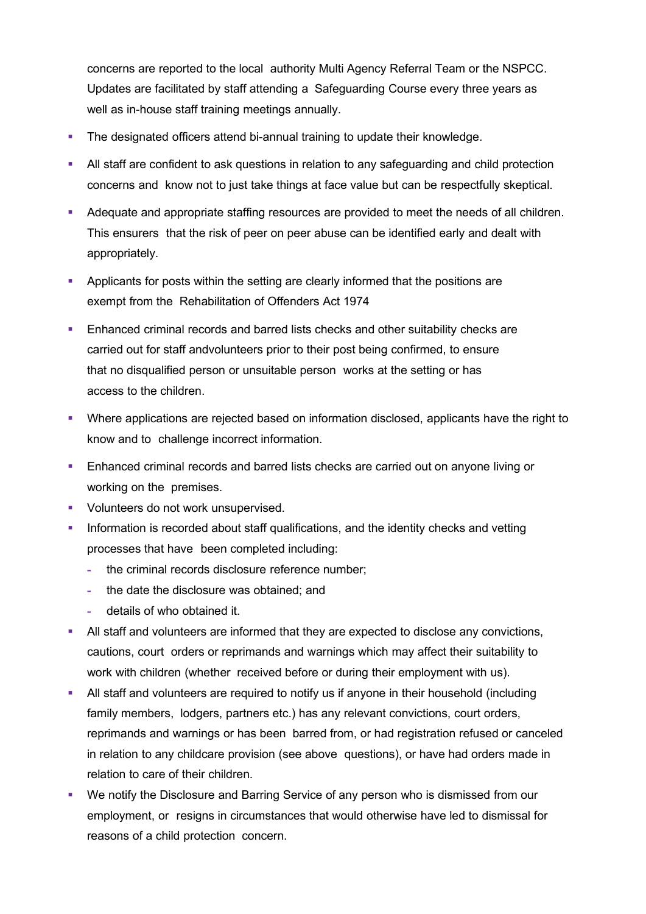concerns are reported to the local authority Multi Agency Referral Team or the NSPCC. Updates are facilitated by staff attending a Safeguarding Course every three years as well as in-house staff training meetings annually.

- The designated officers attend bi-annual training to update their knowledge.
- All staff are confident to ask questions in relation to any safeguarding and child protection concerns and know not to just take things at face value but can be respectfully skeptical.
- Adequate and appropriate staffing resources are provided to meet the needs of all children. This ensurers that the risk of peer on peer abuse can be identified early and dealt with appropriately.
- Applicants for posts within the setting are clearly informed that the positions are exempt from the Rehabilitation of Offenders Act 1974
- **Enhanced criminal records and barred lists checks and other suitability checks are** carried out for staff andvolunteers prior to their post being confirmed, to ensure that no disqualified person or unsuitable person works at the setting or has access to the children.
- Where applications are rejected based on information disclosed, applicants have the right to know and to challenge incorrect information.
- Enhanced criminal records and barred lists checks are carried out on anyone living or working on the premises.
- **Volunteers do not work unsupervised.**
- Information is recorded about staff qualifications, and the identity checks and vetting processes that have been completed including:
	- **-** the criminal records disclosure reference number;
	- **-** the date the disclosure was obtained; and
	- **-** details of who obtained it.
- All staff and volunteers are informed that they are expected to disclose any convictions, cautions, court orders or reprimands and warnings which may affect their suitability to work with children (whether received before or during their employment with us).
- All staff and volunteers are required to notify us if anyone in their household (including family members, lodgers, partners etc.) has any relevant convictions, court orders, reprimands and warnings or has been barred from, or had registration refused or canceled in relation to any childcare provision (see above questions), or have had orders made in relation to care of their children.
- We notify the Disclosure and Barring Service of any person who is dismissed from our employment, or resigns in circumstances that would otherwise have led to dismissal for reasons of a child protection concern.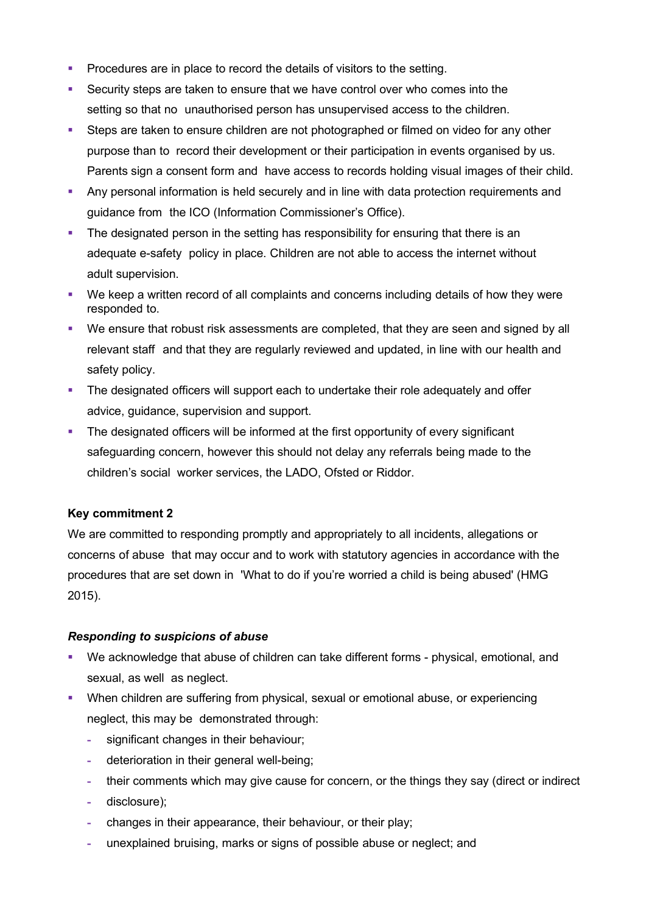- Procedures are in place to record the details of visitors to the setting.
- Security steps are taken to ensure that we have control over who comes into the setting so that no unauthorised person has unsupervised access to the children.
- Steps are taken to ensure children are not photographed or filmed on video for any other purpose than to record their development or their participation in events organised by us. Parents sign a consent form and have access to records holding visual images of their child.
- Any personal information is held securely and in line with data protection requirements and guidance from the ICO (Information Commissioner's Office).
- The designated person in the setting has responsibility for ensuring that there is an adequate e-safety policy in place. Children are not able to access the internet without adult supervision.
- We keep a written record of all complaints and concerns including details of how they were responded to.
- We ensure that robust risk assessments are completed, that they are seen and signed by all relevant staff and that they are regularly reviewed and updated, in line with our health and safety policy.
- **The designated officers will support each to undertake their role adequately and offer** advice, guidance, supervision and support.
- The designated officers will be informed at the first opportunity of every significant safeguarding concern, however this should not delay any referrals being made to the children's social worker services, the LADO, Ofsted or Riddor.

## **Key commitment 2**

We are committed to responding promptly and appropriately to all incidents, allegations or concerns of abuse that may occur and to work with statutory agencies in accordance with the procedures that are set down in 'What to do if you're worried a child is being abused' (HMG 2015).

#### *Responding to suspicions of abuse*

- We acknowledge that abuse of children can take different forms physical, emotional, and sexual, as well as neglect.
- When children are suffering from physical, sexual or emotional abuse, or experiencing neglect, this may be demonstrated through:
	- **-** significant changes in their behaviour;
	- **-** deterioration in their general well-being;
	- **-** their comments which may give cause for concern, or the things they say (direct or indirect
	- **-** disclosure);
	- **-** changes in their appearance, their behaviour, or their play;
	- **-** unexplained bruising, marks or signs of possible abuse or neglect; and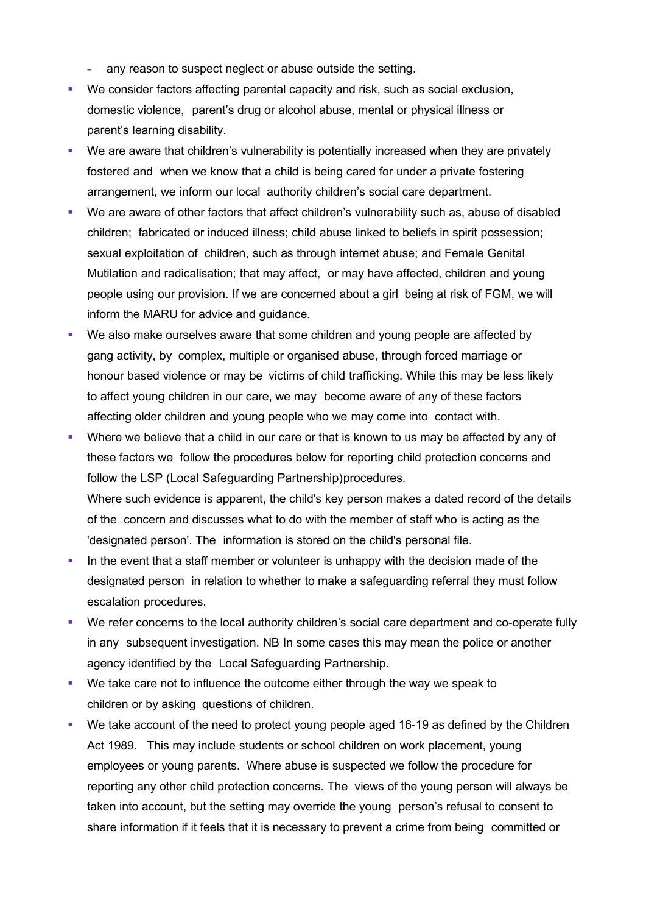- **-** any reason to suspect neglect or abuse outside the setting.
- We consider factors affecting parental capacity and risk, such as social exclusion, domestic violence, parent's drug or alcohol abuse, mental or physical illness or parent's learning disability.
- We are aware that children's vulnerability is potentially increased when they are privately fostered and when we know that a child is being cared for under a private fostering arrangement, we inform our local authority children's social care department.
- We are aware of other factors that affect children's vulnerability such as, abuse of disabled children; fabricated or induced illness; child abuse linked to beliefs in spirit possession; sexual exploitation of children, such as through internet abuse; and Female Genital Mutilation and radicalisation; that may affect, or may have affected, children and young people using our provision. If we are concerned about a girl being at risk of FGM, we will inform the MARU for advice and guidance.
- We also make ourselves aware that some children and young people are affected by gang activity, by complex, multiple or organised abuse, through forced marriage or honour based violence or may be victims of child trafficking. While this may be less likely to affect young children in our care, we may become aware of any of these factors affecting older children and young people who we may come into contact with.
- Where we believe that a child in our care or that is known to us may be affected by any of these factors we follow the procedures below for reporting child protection concerns and follow the LSP (Local Safeguarding Partnership)procedures. Where such evidence is apparent, the child's key person makes a dated record of the details of the concern and discusses what to do with the member of staff who is acting as the 'designated person'. The information is stored on the child's personal file.
- In the event that a staff member or volunteer is unhappy with the decision made of the designated person in relation to whether to make a safeguarding referral they must follow escalation procedures.
- We refer concerns to the local authority children's social care department and co-operate fully in any subsequent investigation. NB In some cases this may mean the police or another agency identified by the Local Safeguarding Partnership.
- We take care not to influence the outcome either through the way we speak to children or by asking questions of children.
- We take account of the need to protect young people aged 16-19 as defined by the Children Act 1989. This may include students or school children on work placement, young employees or young parents. Where abuse is suspected we follow the procedure for reporting any other child protection concerns. The views of the young person will always be taken into account, but the setting may override the young person's refusal to consent to share information if it feels that it is necessary to prevent a crime from being committed or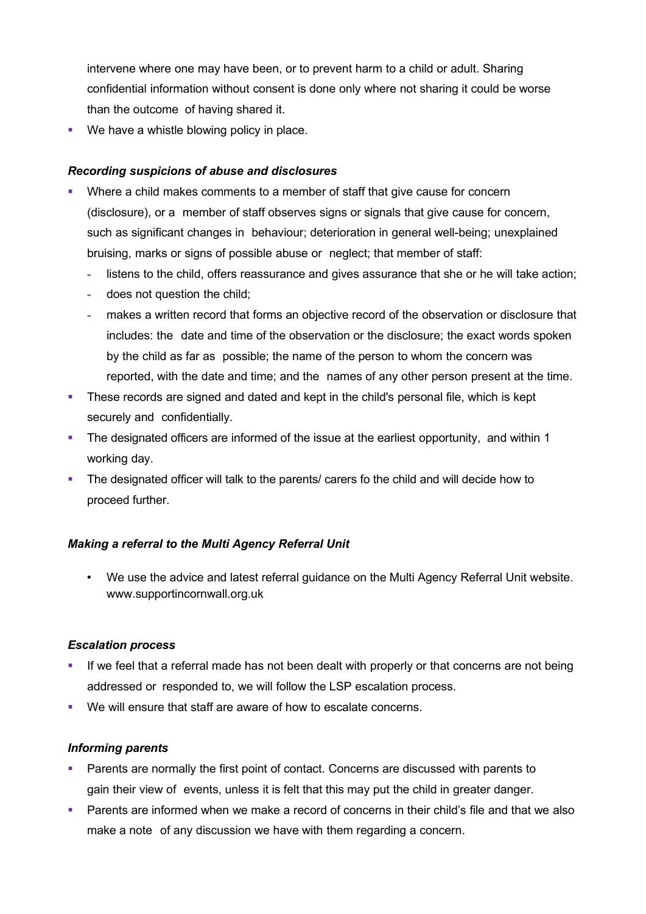intervene where one may have been, or to prevent harm to a child or adult. Sharing confidential information without consent is done only where not sharing it could be worse than the outcome of having shared it.

**We have a whistle blowing policy in place.** 

#### *Recording suspicions of abuse and disclosures*

- Where a child makes comments to a member of staff that give cause for concern (disclosure), or a member of staff observes signs or signals that give cause for concern, such as significant changes in behaviour; deterioration in general well-being; unexplained bruising, marks or signs of possible abuse or neglect; that member of staff:
	- **-** listens to the child, offers reassurance and gives assurance that she or he will take action;
	- **-** does not question the child;
	- **-** makes a written record that forms an objective record of the observation or disclosure that includes: the date and time of the observation or the disclosure; the exact words spoken by the child as far as possible; the name of the person to whom the concern was reported, with the date and time; and the names of any other person present at the time.
- **These records are signed and dated and kept in the child's personal file, which is kept** securely and confidentially.
- The designated officers are informed of the issue at the earliest opportunity, and within 1 working day.
- The designated officer will talk to the parents/ carers fo the child and will decide how to proceed further.

#### *Making a referral to the Multi Agency Referral Unit*

• We use the advice and latest referral guidance on the Multi Agency Referral Unit website. www.supportincornwall.org.uk

#### *Escalation process*

- **If we feel that a referral made has not been dealt with properly or that concerns are not being** addressed or responded to, we will follow the LSP escalation process.
- We will ensure that staff are aware of how to escalate concerns.

#### *Informing parents*

- **Parents are normally the first point of contact. Concerns are discussed with parents to** gain their view of events, unless it is felt that this may put the child in greater danger.
- Parents are informed when we make a record of concerns in their child's file and that we also make a note of any discussion we have with them regarding a concern.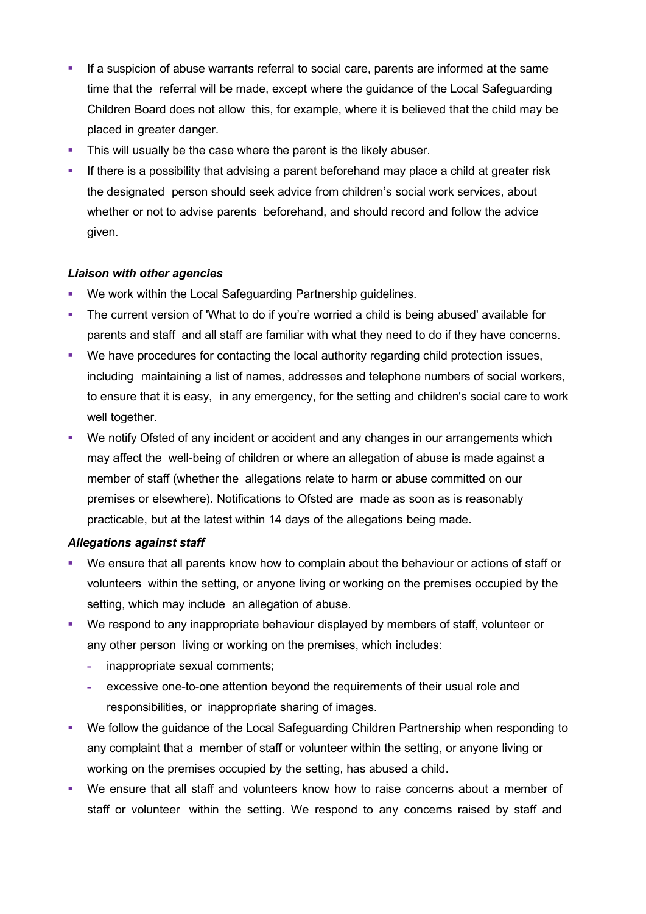- If a suspicion of abuse warrants referral to social care, parents are informed at the same time that the referral will be made, except where the guidance of the Local Safeguarding Children Board does not allow this, for example, where it is believed that the child may be placed in greater danger.
- This will usually be the case where the parent is the likely abuser.
- If there is a possibility that advising a parent beforehand may place a child at greater risk the designated person should seek advice from children's social work services, about whether or not to advise parents beforehand, and should record and follow the advice given.

#### *Liaison with other agencies*

- We work within the Local Safeguarding Partnership guidelines.
- The current version of 'What to do if you're worried a child is being abused' available for parents and staff and all staff are familiar with what they need to do if they have concerns.
- We have procedures for contacting the local authority regarding child protection issues, including maintaining a list of names, addresses and telephone numbers of social workers, to ensure that it is easy, in any emergency, for the setting and children's social care to work well together.
- We notify Ofsted of any incident or accident and any changes in our arrangements which may affect the well-being of children or where an allegation of abuse is made against a member of staff (whether the allegations relate to harm or abuse committed on our premises or elsewhere). Notifications to Ofsted are made as soon as is reasonably practicable, but at the latest within 14 days of the allegations being made.

#### *Allegations against staff*

- We ensure that all parents know how to complain about the behaviour or actions of staff or volunteers within the setting, or anyone living or working on the premises occupied by the setting, which may include an allegation of abuse.
- We respond to any inappropriate behaviour displayed by members of staff, volunteer or any other person living or working on the premises, which includes:
	- **-** inappropriate sexual comments;
	- **-** excessive one-to-one attention beyond the requirements of their usual role and responsibilities, or inappropriate sharing of images.
- We follow the guidance of the Local Safeguarding Children Partnership when responding to any complaint that a member of staff or volunteer within the setting, or anyone living or working on the premises occupied by the setting, has abused a child.
- We ensure that all staff and volunteers know how to raise concerns about a member of staff or volunteer within the setting. We respond to any concerns raised by staff and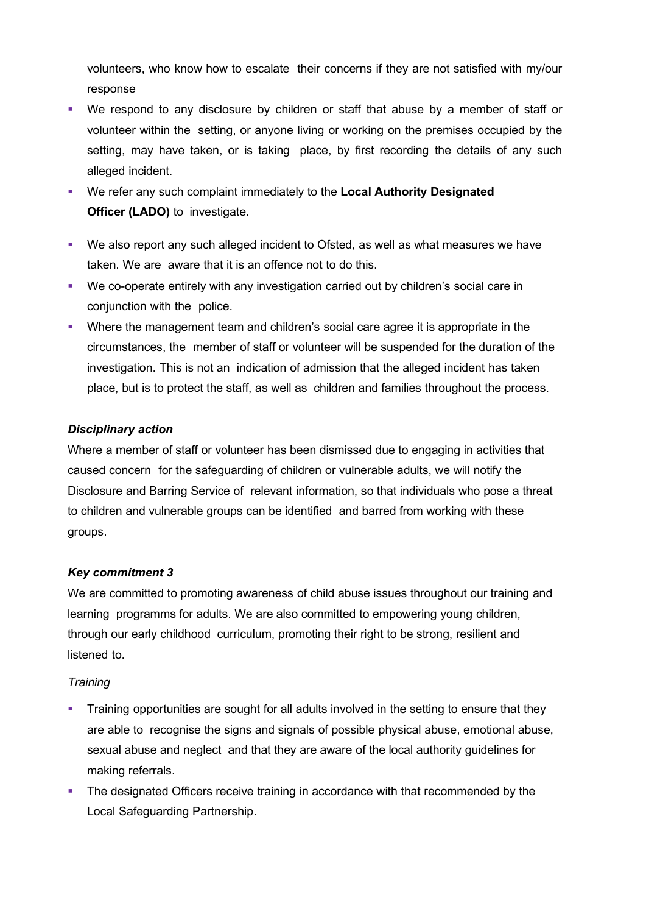volunteers, who know how to escalate their concerns if they are not satisfied with my/our response

- We respond to any disclosure by children or staff that abuse by a member of staff or volunteer within the setting, or anyone living or working on the premises occupied by the setting, may have taken, or is taking place, by first recording the details of any such alleged incident.
- We refer any such complaint immediately to the **Local Authority Designated Officer (LADO)** to investigate.
- We also report any such alleged incident to Ofsted, as well as what measures we have taken. We are aware that it is an offence not to do this.
- We co-operate entirely with any investigation carried out by children's social care in conjunction with the police.
- Where the management team and children's social care agree it is appropriate in the circumstances, the member of staff or volunteer will be suspended for the duration of the investigation. This is not an indication of admission that the alleged incident has taken place, but is to protect the staff, as well as children and families throughout the process.

## *Disciplinary action*

Where a member of staff or volunteer has been dismissed due to engaging in activities that caused concern for the safeguarding of children or vulnerable adults, we will notify the Disclosure and Barring Service of relevant information, so that individuals who pose a threat to children and vulnerable groups can be identified and barred from working with these groups.

#### *Key commitment 3*

We are committed to promoting awareness of child abuse issues throughout our training and learning programms for adults. We are also committed to empowering young children, through our early childhood curriculum, promoting their right to be strong, resilient and listened to.

#### *Training*

- **Training opportunities are sought for all adults involved in the setting to ensure that they** are able to recognise the signs and signals of possible physical abuse, emotional abuse, sexual abuse and neglect and that they are aware of the local authority guidelines for making referrals.
- The designated Officers receive training in accordance with that recommended by the Local Safeguarding Partnership.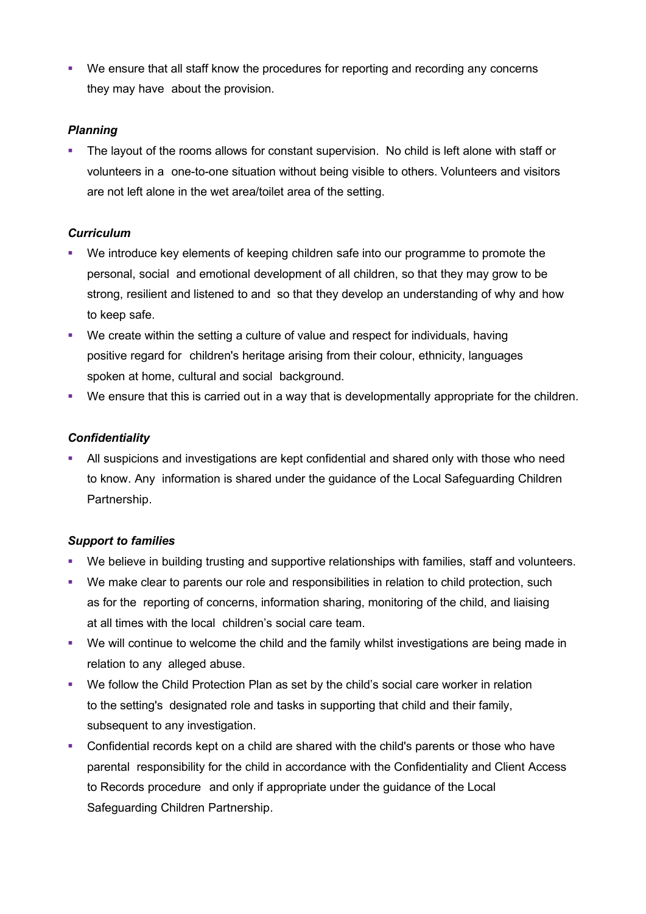We ensure that all staff know the procedures for reporting and recording any concerns they may have about the provision.

#### *Planning*

 The layout of the rooms allows for constant supervision. No child is left alone with staff or volunteers in a one-to-one situation without being visible to others. Volunteers and visitors are not left alone in the wet area/toilet area of the setting.

#### *Curriculum*

- We introduce key elements of keeping children safe into our programme to promote the personal, social and emotional development of all children, so that they may grow to be strong, resilient and listened to and so that they develop an understanding of why and how to keep safe.
- We create within the setting a culture of value and respect for individuals, having positive regard for children's heritage arising from their colour, ethnicity, languages spoken at home, cultural and social background.
- We ensure that this is carried out in a way that is developmentally appropriate for the children.

#### *Confidentiality*

 All suspicions and investigations are kept confidential and shared only with those who need to know. Any information is shared under the guidance of the Local Safeguarding Children Partnership.

## *Support to families*

- We believe in building trusting and supportive relationships with families, staff and volunteers.
- We make clear to parents our role and responsibilities in relation to child protection, such as for the reporting of concerns, information sharing, monitoring of the child, and liaising at all times with the local children's social care team.
- We will continue to welcome the child and the family whilst investigations are being made in relation to any alleged abuse.
- We follow the Child Protection Plan as set by the child's social care worker in relation to the setting's designated role and tasks in supporting that child and their family, subsequent to any investigation.
- Confidential records kept on a child are shared with the child's parents or those who have parental responsibility for the child in accordance with the Confidentiality and Client Access to Records procedure and only if appropriate under the guidance of the Local Safeguarding Children Partnership.